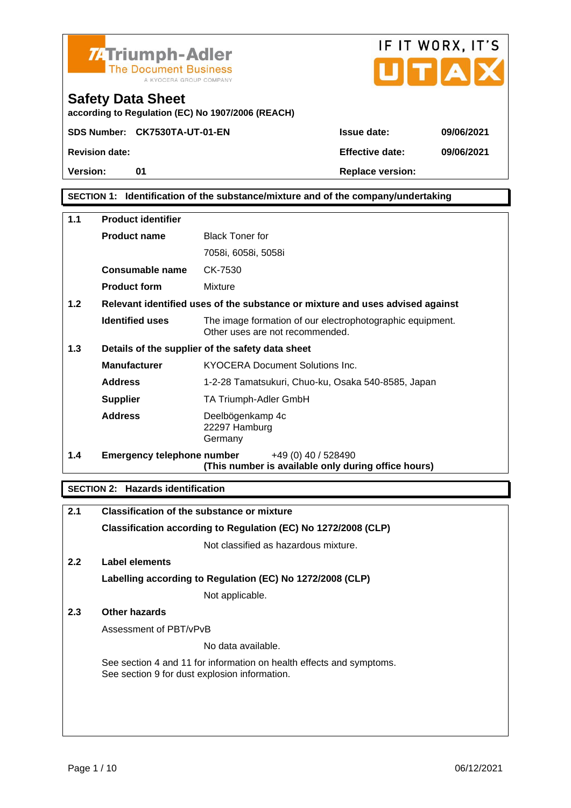|                                                                               | <b>74Triumph-Adler</b><br><b>The Document Business</b><br>A KYOCERA GROUP COMPANY |                  | IF IT WORX, IT'S<br>UTAX |
|-------------------------------------------------------------------------------|-----------------------------------------------------------------------------------|------------------|--------------------------|
| <b>Safety Data Sheet</b><br>according to Regulation (EC) No 1907/2006 (REACH) |                                                                                   |                  |                          |
|                                                                               | SDS Number: CK7530TA-UT-01-EN                                                     | Issue date:      | 09/06/2021               |
| Revision date:                                                                |                                                                                   | Effective date:  | 09/06/2021               |
| Version:                                                                      | 01                                                                                | Replace version: |                          |

#### SECTION 1: Identification of the substance/mixture and of the company/undertaking

| 1.1                                                     | Product identifier         |                                                                                              |
|---------------------------------------------------------|----------------------------|----------------------------------------------------------------------------------------------|
|                                                         | Product name               | <b>Black Toner for</b>                                                                       |
|                                                         |                            | 7058i, 6058i, 5058i                                                                          |
|                                                         | Consumable name            | CK-7530                                                                                      |
|                                                         | Product form               | Mixture                                                                                      |
| 1.2                                                     |                            | Relevant identified uses of the substance or mixture and uses advised against                |
|                                                         | Identified uses            | The image formation of our electrophotographic equipment.<br>Other uses are not recommended. |
| 1.3<br>Details of the supplier of the safety data sheet |                            |                                                                                              |
|                                                         | Manufacturer               | <b>KYOCERA Document Solutions Inc.</b>                                                       |
|                                                         | Address                    | 1-2-28 Tamatsukuri, Chuo-ku, Osaka 540-8585, Japan                                           |
|                                                         | Supplier                   | TA Triumph-Adler GmbH                                                                        |
|                                                         | Address                    | Deelbögenkamp 4c<br>22297 Hamburg<br>Germany                                                 |
| 1.4                                                     | Emergency telephone number | +49 (0) 40 / 528490<br>(This number is available only during office hours)                   |

SECTION 2: Hazards identification

| Classification of the substance or mixture                                                                            |
|-----------------------------------------------------------------------------------------------------------------------|
|                                                                                                                       |
| Classification according to Regulation (EC) No 1272/2008 (CLP)                                                        |
| Not classified as hazardous mixture.                                                                                  |
| Label elements                                                                                                        |
| Labelling according to Regulation (EC) No 1272/2008 (CLP)                                                             |
| Not applicable.                                                                                                       |
| Other hazards                                                                                                         |
| Assessment of PBT/vPvB                                                                                                |
| No data available.                                                                                                    |
| See section 4 and 11 for information on health effects and symptoms.<br>See section 9 for dust explosion information. |
|                                                                                                                       |
|                                                                                                                       |
|                                                                                                                       |
|                                                                                                                       |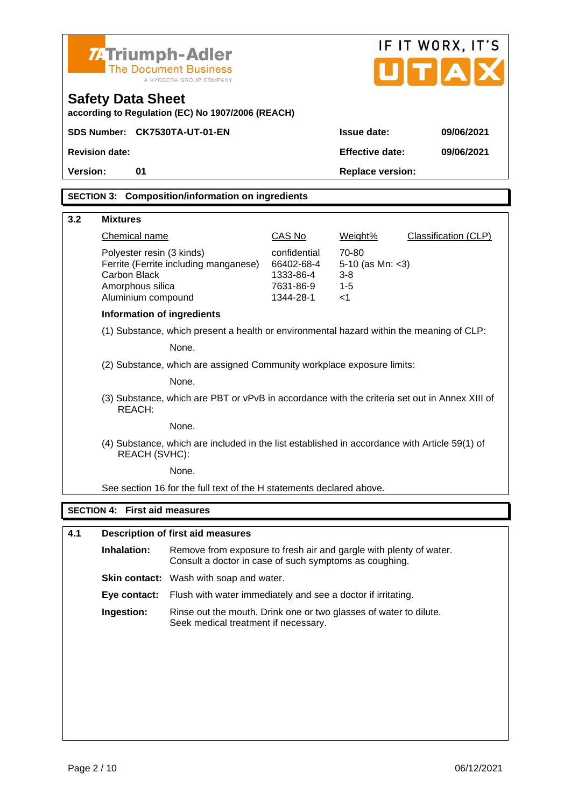|                                                                        | <b>74 Triumph-Adler</b>                                                                                                      |                            |                                | IF IT WORX, IT'S     |
|------------------------------------------------------------------------|------------------------------------------------------------------------------------------------------------------------------|----------------------------|--------------------------------|----------------------|
|                                                                        | <b>The Document Business</b><br>A KYOCERA GROUP COMPANY                                                                      |                            | UITIA                          |                      |
| <b>Safety Data Sheet</b>                                               | according to Regulation (EC) No 1907/2006 (REACH)                                                                            |                            |                                |                      |
|                                                                        | SDS Number: CK7530TA-UT-01-EN                                                                                                |                            | Issue date:                    | 09/06/2021           |
| Revision date:                                                         |                                                                                                                              |                            | Effective date:                | 09/06/2021           |
| Version:<br>01                                                         |                                                                                                                              |                            | Replace version:               |                      |
|                                                                        |                                                                                                                              |                            |                                |                      |
|                                                                        | SECTION 3: Composition/information on ingredients                                                                            |                            |                                |                      |
| 3.2<br><b>Mixtures</b>                                                 |                                                                                                                              |                            |                                |                      |
| <b>Chemical name</b>                                                   |                                                                                                                              | <b>CAS No</b>              | Weight%                        | Classification (CLP) |
|                                                                        | Polyester resin (3 kinds)                                                                                                    | confidential<br>66402-68-4 | 70-80                          |                      |
| Carbon Black                                                           | Ferrite (Ferrite including manganese)                                                                                        | 1333-86-4                  | 5-10 (as Mn: $<$ 3)<br>$3 - 8$ |                      |
| Amorphous silica<br>Aluminium compound                                 |                                                                                                                              | 7631-86-9<br>1344-28-1     | $1 - 5$<br>$<$ 1               |                      |
|                                                                        | Information of ingredients                                                                                                   |                            |                                |                      |
|                                                                        | (1) Substance, which present a health or environmental hazard within the meaning of CLP:                                     |                            |                                |                      |
|                                                                        | None.                                                                                                                        |                            |                                |                      |
| (2) Substance, which are assigned Community workplace exposure limits: |                                                                                                                              |                            |                                |                      |
| None.                                                                  |                                                                                                                              |                            |                                |                      |
| REACH:                                                                 | (3) Substance, which are PBT or vPvB in accordance with the criteria set out in Annex XIII of                                |                            |                                |                      |
|                                                                        | None.                                                                                                                        |                            |                                |                      |
|                                                                        | (4) Substance, which are included in the list established in accordance with Article 59(1) of<br>REACH (SVHC):               |                            |                                |                      |
|                                                                        | None.                                                                                                                        |                            |                                |                      |
|                                                                        | See section 16 for the full text of the H statements declared above.                                                         |                            |                                |                      |
| SECTION 4: First aid measures                                          |                                                                                                                              |                            |                                |                      |
|                                                                        |                                                                                                                              |                            |                                |                      |
| 4.1<br>Inhalation:                                                     | Description of first aid measures                                                                                            |                            |                                |                      |
|                                                                        | Remove from exposure to fresh air and gargle with plenty of water.<br>Consult a doctor in case of such symptoms as coughing. |                            |                                |                      |
|                                                                        | Skin contact: Wash with soap and water.                                                                                      |                            |                                |                      |
| Eye contact:                                                           | Flush with water immediately and see a doctor if irritating.                                                                 |                            |                                |                      |
| Ingestion:                                                             | Rinse out the mouth. Drink one or two glasses of water to dilute.<br>Seek medical treatment if necessary.                    |                            |                                |                      |
|                                                                        |                                                                                                                              |                            |                                |                      |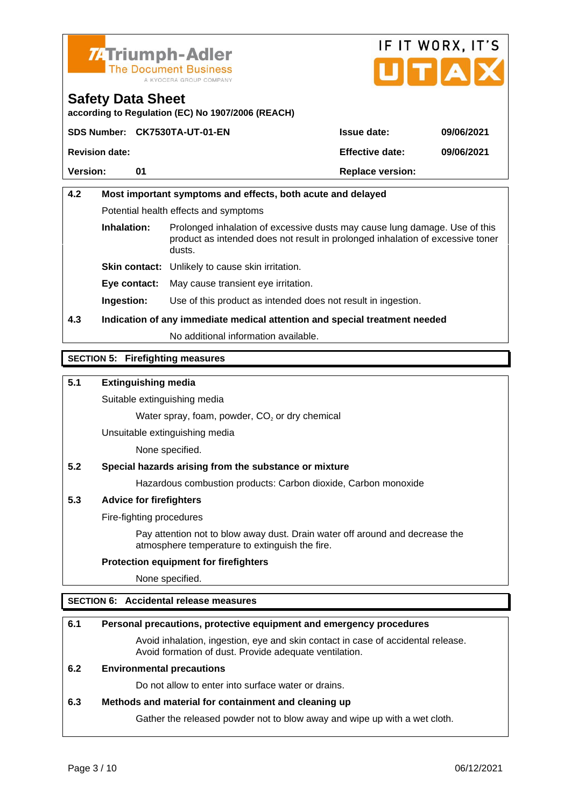



according to Regulation (EC) No 1907/2006 (REACH)

|                | SDS Number: CK7530TA-UT-01-EN | Issue date:      | 09/06/2021 |
|----------------|-------------------------------|------------------|------------|
| Revision date: |                               | Effective date:  | 09/06/2021 |
| Version:       |                               | Replace version: |            |
|                |                               |                  |            |

| 4.2                   | Most important symptoms and effects, both acute and delayed                |                                                                                                                                                              |  |
|-----------------------|----------------------------------------------------------------------------|--------------------------------------------------------------------------------------------------------------------------------------------------------------|--|
|                       | Potential health effects and symptoms                                      |                                                                                                                                                              |  |
| Inhalation:<br>dusts. |                                                                            | Prolonged inhalation of excessive dusts may cause lung damage. Use of this<br>product as intended does not result in prolonged inhalation of excessive toner |  |
|                       | Skin contact: Unlikely to cause skin irritation.                           |                                                                                                                                                              |  |
|                       | Eye contact:                                                               | May cause transient eye irritation.                                                                                                                          |  |
|                       | Ingestion:                                                                 | Use of this product as intended does not result in ingestion.                                                                                                |  |
| 4.3                   | Indication of any immediate medical attention and special treatment needed |                                                                                                                                                              |  |
|                       | No additional information available.                                       |                                                                                                                                                              |  |

#### SECTION 5: Firefighting measures

5.1 Extinguishing media

Suitable extinguishing media

Water spray, foam, powder,  $CO<sub>2</sub>$  or dry chemical

Unsuitable extinguishing media

None specified.

5.2 Special hazards arising from the substance or mixture

Hazardous combustion products: Carbon dioxide, Carbon monoxide

5.3 Advice for firefighters

Fire-fighting procedures

Pay attention not to blow away dust. Drain water off around and decrease the atmosphere temperature to extinguish the fire.

Protection equipment for firefighters

None specified.

#### SECTION 6: Accidental release measures

| 6.1 | Personal precautions, protective equipment and emergency procedures                                                                        |
|-----|--------------------------------------------------------------------------------------------------------------------------------------------|
|     | Avoid inhalation, ingestion, eye and skin contact in case of accidental release.<br>Avoid formation of dust. Provide adequate ventilation. |
| 6.2 | Environmental precautions                                                                                                                  |
|     | Do not allow to enter into surface water or drains.                                                                                        |
| 6.3 | Methods and material for containment and cleaning up                                                                                       |
|     | Gather the released powder not to blow away and wipe up with a wet cloth.                                                                  |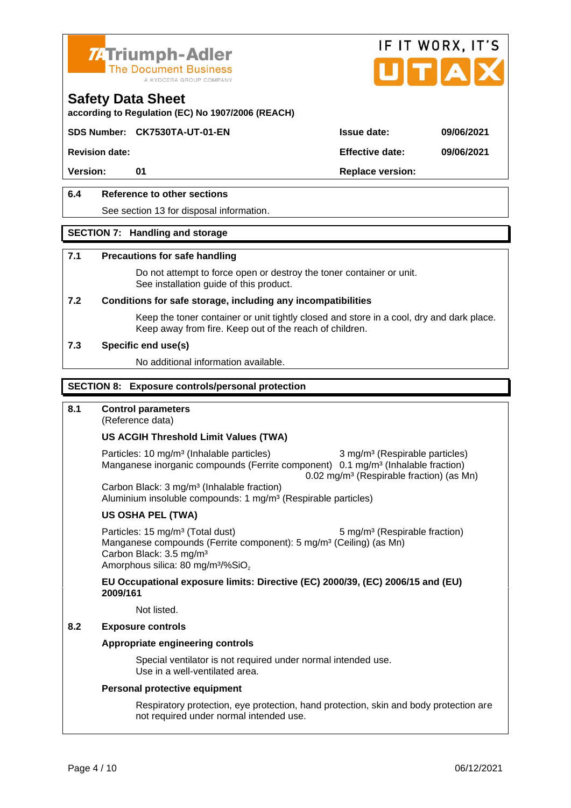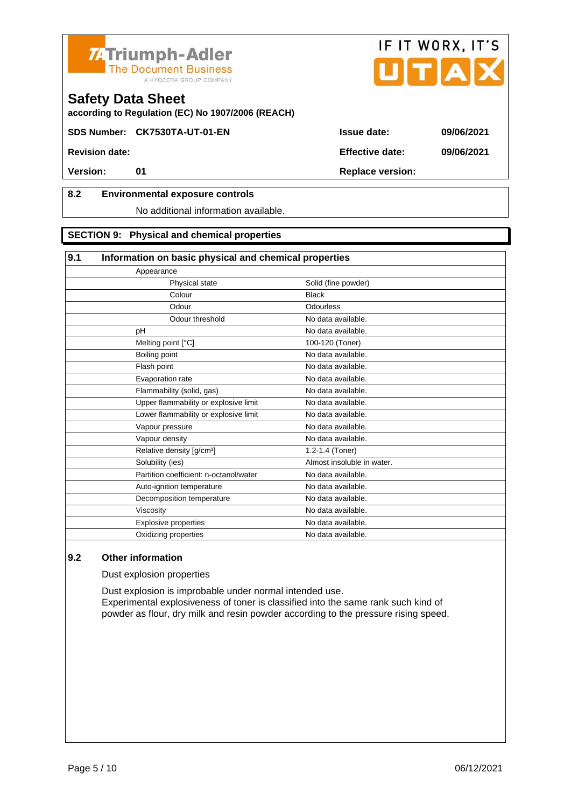



according to Regulation (EC) No 1907/2006 (REACH)

SDS Number: CK7530TA-UT-01-EN Issue date: 09/06/2021

Revision date: Effective date: 09/06/2021

# 8.2 Environmental exposure controls

#### No additional information available.

#### SECTION 9: Physical and chemical properties

| Information on basic physical and chemical properties |                            |  |
|-------------------------------------------------------|----------------------------|--|
| Appearance                                            |                            |  |
| Physical state                                        | Solid (fine powder)        |  |
| Colour                                                | <b>Black</b>               |  |
| Odour                                                 | <b>Odourless</b>           |  |
| Odour threshold                                       | No data available.         |  |
| pH                                                    | No data available.         |  |
| Melting point [°C]                                    | 100-120 (Toner)            |  |
| Boiling point                                         | No data available.         |  |
| Flash point                                           | No data available.         |  |
| Evaporation rate                                      | No data available.         |  |
| Flammability (solid, gas)                             | No data available.         |  |
| Upper flammability or explosive limit                 | No data available.         |  |
| Lower flammability or explosive limit                 | No data available.         |  |
| Vapour pressure                                       | No data available.         |  |
| Vapour density                                        | No data available.         |  |
| Relative density [g/cm <sup>3</sup> ]                 | 1.2-1.4 (Toner)            |  |
| Solubility (ies)                                      | Almost insoluble in water. |  |
| Partition coefficient: n-octanol/water                | No data available.         |  |
| Auto-ignition temperature                             | No data available.         |  |
| Decomposition temperature                             | No data available.         |  |
| Viscosity                                             | No data available.         |  |
| Explosive properties                                  | No data available.         |  |
| Oxidizing properties                                  | No data available.         |  |

### 9.2 Other information

Dust explosion properties

Dust explosion is improbable under normal intended use. Experimental explosiveness of toner is classified into the same rank such kind of powder as flour, dry milk and resin powder according to the pressure rising speed.

Version: 01 01 Replace version: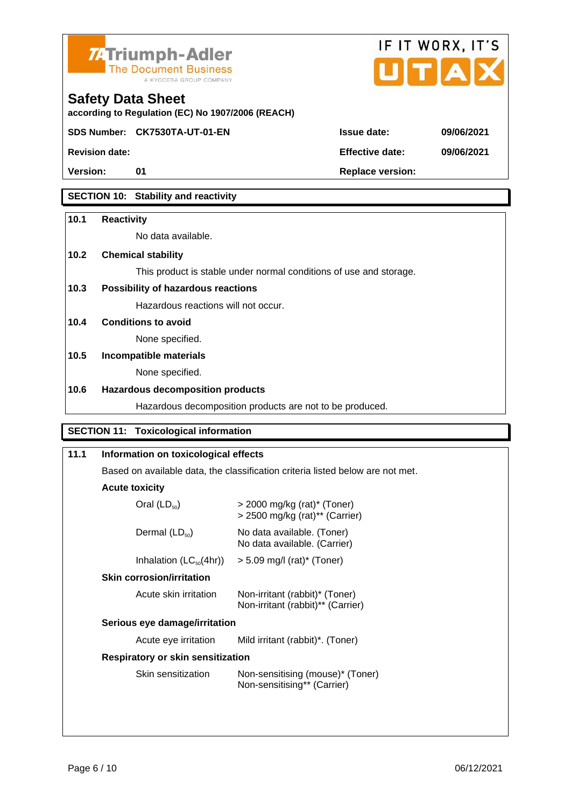



according to Regulation (EC) No 1907/2006 (REACH)

SDS Number: CK7530TA-UT-01-EN Issue date: 09/06/2021

Version: 01 01 01 Replace version:

Revision date: 09/06/2021

## SECTION 10: Stability and reactivity

| 10.1 | Reactivity                                                         |
|------|--------------------------------------------------------------------|
|      | No data available.                                                 |
| 10.2 | Chemical stability                                                 |
|      | This product is stable under normal conditions of use and storage. |
| 10.3 | Possibility of hazardous reactions                                 |
|      | Hazardous reactions will not occur.                                |
| 10.4 | Conditions to avoid                                                |
|      | None specified.                                                    |
| 10.5 | Incompatible materials                                             |
|      | None specified.                                                    |
| 10.6 | Hazardous decomposition products                                   |
|      | Hazardous decomposition products are not to be produced.           |

#### SECTION 11: Toxicological information

| 11.1                              | Information on toxicological effects                                           |                                                                               |  |
|-----------------------------------|--------------------------------------------------------------------------------|-------------------------------------------------------------------------------|--|
|                                   | Based on available data, the classification criteria listed below are not met. |                                                                               |  |
|                                   | Acute toxicity                                                                 |                                                                               |  |
|                                   | Oral $(LD_{50})$                                                               | $>$ 2000 mg/kg (rat)* (Toner)<br>$>$ 2500 mg/kg (rat) <sup>**</sup> (Carrier) |  |
|                                   | Dermal $(LD_{50})$                                                             | No data available. (Toner)<br>No data available. (Carrier)                    |  |
|                                   | Inhalation $(LC_{50}(4hr))$                                                    | $> 5.09$ mg/l (rat)* (Toner)                                                  |  |
|                                   | Skin corrosion/irritation                                                      |                                                                               |  |
|                                   | Acute skin irritation                                                          | Non-irritant (rabbit)* (Toner)<br>Non-irritant (rabbit)** (Carrier)           |  |
| Serious eye damage/irritation     |                                                                                |                                                                               |  |
|                                   | Acute eye irritation                                                           | Mild irritant (rabbit)*. (Toner)                                              |  |
| Respiratory or skin sensitization |                                                                                |                                                                               |  |
|                                   | Skin sensitization                                                             | Non-sensitising (mouse)* (Toner)<br>Non-sensitising** (Carrier)               |  |
|                                   |                                                                                |                                                                               |  |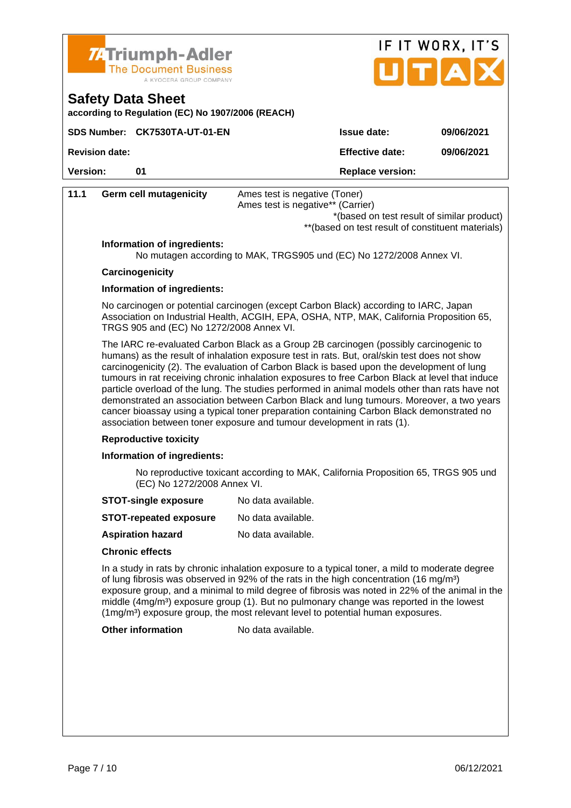



according to Regulation (EC) No 1907/2006 (REACH)

|                | SDS Number: CK7530TA-UT-01-EN | Issue date:      | 09/06/2021 |
|----------------|-------------------------------|------------------|------------|
| Revision date: |                               | Effective date:  | 09/06/2021 |
| Version:       |                               | Replace version: |            |

| 11.1 | Germ cell mutagenicity                   | Ames test is negative (Toner)<br>Ames test is negative** (Carrier)                                                                                                                                                                                                                                                                                                                                                                                                                                                                                                                                                                                                                                                                                         |
|------|------------------------------------------|------------------------------------------------------------------------------------------------------------------------------------------------------------------------------------------------------------------------------------------------------------------------------------------------------------------------------------------------------------------------------------------------------------------------------------------------------------------------------------------------------------------------------------------------------------------------------------------------------------------------------------------------------------------------------------------------------------------------------------------------------------|
|      |                                          | *(based on test result of similar product)                                                                                                                                                                                                                                                                                                                                                                                                                                                                                                                                                                                                                                                                                                                 |
|      |                                          | ** (based on test result of constituent materials)                                                                                                                                                                                                                                                                                                                                                                                                                                                                                                                                                                                                                                                                                                         |
|      | Information of ingredients:              | No mutagen according to MAK, TRGS905 und (EC) No 1272/2008 Annex VI.                                                                                                                                                                                                                                                                                                                                                                                                                                                                                                                                                                                                                                                                                       |
|      | Carcinogenicity                          |                                                                                                                                                                                                                                                                                                                                                                                                                                                                                                                                                                                                                                                                                                                                                            |
|      | Information of ingredients:              |                                                                                                                                                                                                                                                                                                                                                                                                                                                                                                                                                                                                                                                                                                                                                            |
|      | TRGS 905 and (EC) No 1272/2008 Annex VI. | No carcinogen or potential carcinogen (except Carbon Black) according to IARC, Japan<br>Association on Industrial Health, ACGIH, EPA, OSHA, NTP, MAK, California Proposition 65,                                                                                                                                                                                                                                                                                                                                                                                                                                                                                                                                                                           |
|      |                                          | The IARC re-evaluated Carbon Black as a Group 2B carcinogen (possibly carcinogenic to<br>humans) as the result of inhalation exposure test in rats. But, oral/skin test does not show<br>carcinogenicity (2). The evaluation of Carbon Black is based upon the development of lung<br>tumours in rat receiving chronic inhalation exposures to free Carbon Black at level that induce<br>particle overload of the lung. The studies performed in animal models other than rats have not<br>demonstrated an association between Carbon Black and lung tumours. Moreover, a two years<br>cancer bioassay using a typical toner preparation containing Carbon Black demonstrated no<br>association between toner exposure and tumour development in rats (1). |
|      | Reproductive toxicity                    |                                                                                                                                                                                                                                                                                                                                                                                                                                                                                                                                                                                                                                                                                                                                                            |
|      | Information of ingredients:              |                                                                                                                                                                                                                                                                                                                                                                                                                                                                                                                                                                                                                                                                                                                                                            |
|      | (EC) No 1272/2008 Annex VI.              | No reproductive toxicant according to MAK, California Proposition 65, TRGS 905 und                                                                                                                                                                                                                                                                                                                                                                                                                                                                                                                                                                                                                                                                         |
|      | STOT-single exposure                     | No data available.                                                                                                                                                                                                                                                                                                                                                                                                                                                                                                                                                                                                                                                                                                                                         |
|      | STOT-repeated exposure                   | No data available.                                                                                                                                                                                                                                                                                                                                                                                                                                                                                                                                                                                                                                                                                                                                         |
|      | Aspiration hazard                        | No data available.                                                                                                                                                                                                                                                                                                                                                                                                                                                                                                                                                                                                                                                                                                                                         |
|      | Chronic effects                          |                                                                                                                                                                                                                                                                                                                                                                                                                                                                                                                                                                                                                                                                                                                                                            |
|      |                                          | In a study in rats by chronic inhalation exposure to a typical toner, a mild to moderate degree<br>of lung fibrosis was observed in 92% of the rats in the high concentration (16 mg/m <sup>3</sup> )<br>exposure group, and a minimal to mild degree of fibrosis was noted in 22% of the animal in the<br>middle $(4mg/m3)$ exposure group (1). But no pulmonary change was reported in the lowest<br>$(1 \text{mg/m}^3)$ exposure group, the most relevant level to potential human exposures.                                                                                                                                                                                                                                                           |
|      | Other information                        | No data available.                                                                                                                                                                                                                                                                                                                                                                                                                                                                                                                                                                                                                                                                                                                                         |
|      |                                          |                                                                                                                                                                                                                                                                                                                                                                                                                                                                                                                                                                                                                                                                                                                                                            |
|      |                                          |                                                                                                                                                                                                                                                                                                                                                                                                                                                                                                                                                                                                                                                                                                                                                            |
|      |                                          |                                                                                                                                                                                                                                                                                                                                                                                                                                                                                                                                                                                                                                                                                                                                                            |
|      |                                          |                                                                                                                                                                                                                                                                                                                                                                                                                                                                                                                                                                                                                                                                                                                                                            |
|      |                                          |                                                                                                                                                                                                                                                                                                                                                                                                                                                                                                                                                                                                                                                                                                                                                            |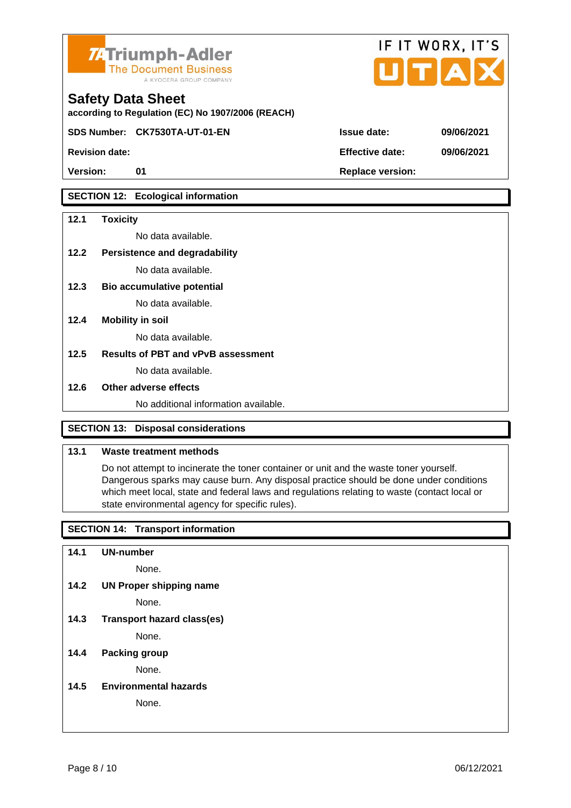



according to Regulation (EC) No 1907/2006 (REACH)

SDS Number: CK7530TA-UT-01-EN Issue date: 09/06/2021

Revision date: Effective date: 09/06/2021

Version: 01 Replace version:

### SECTION 12: Ecological information

| 12.1 | Toxicity                             |
|------|--------------------------------------|
|      | No data available.                   |
| 12.2 | Persistence and degradability        |
|      | No data available.                   |
| 12.3 | Bio accumulative potential           |
|      | No data available.                   |
| 12.4 | Mobility in soil                     |
|      | No data available.                   |
| 12.5 | Results of PBT and vPvB assessment   |
|      | No data available.                   |
| 12.6 | Other adverse effects                |
|      | No additional information available. |
|      |                                      |

### SECTION 13: Disposal considerations

#### 13.1 Waste treatment methods

Do not attempt to incinerate the toner container or unit and the waste toner yourself. Dangerous sparks may cause burn. Any disposal practice should be done under conditions which meet local, state and federal laws and regulations relating to waste (contact local or state environmental agency for specific rules).

### SECTION 14: Transport information

14.1 UN-number

- None.
- 14.2 UN Proper shipping name

None.

14.3 Transport hazard class(es)

None.

14.4 Packing group

None.

14.5 Environmental hazards

None.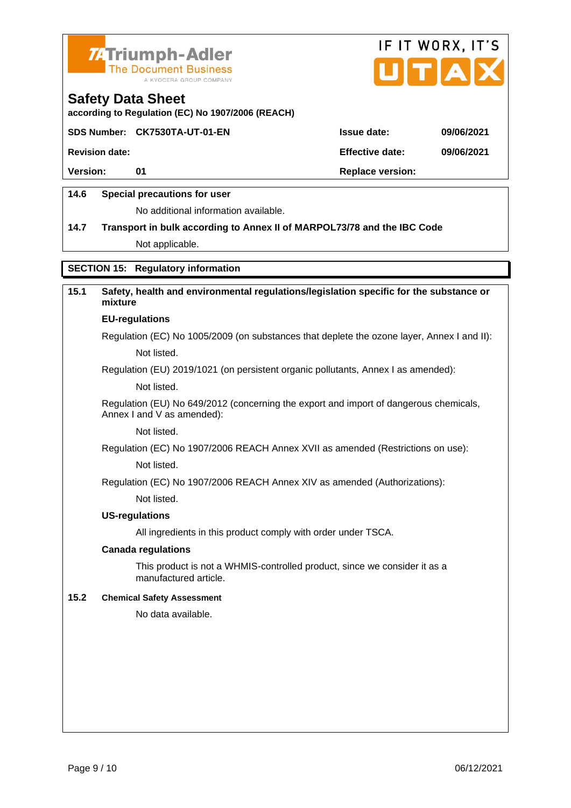



according to Regulation (EC) No 1907/2006 (REACH)

SDS Number: CK7530TA-UT-01-EN Issue date: 09/06/2021

Revision date: Effective date: 09/06/2021

Version: 01 Replace version:

### 14.6 Special precautions for user

No additional information available.

14.7 Transport in bulk according to Annex II of MARPOL73/78 and the IBC Code Not applicable.

### SECTION 15: Regulatory information

| 15.1 | Safety, health and environmental regulations/legislation specific for the substance or<br>mixture                   |
|------|---------------------------------------------------------------------------------------------------------------------|
|      | EU-regulations                                                                                                      |
|      | Regulation (EC) No 1005/2009 (on substances that deplete the ozone layer, Annex I and II):                          |
|      | Not listed.                                                                                                         |
|      | Regulation (EU) 2019/1021 (on persistent organic pollutants, Annex I as amended):                                   |
|      | Not listed.                                                                                                         |
|      | Regulation (EU) No 649/2012 (concerning the export and import of dangerous chemicals,<br>Annex I and V as amended): |
|      | Not listed.                                                                                                         |
|      | Regulation (EC) No 1907/2006 REACH Annex XVII as amended (Restrictions on use):                                     |
|      | Not listed.                                                                                                         |
|      | Regulation (EC) No 1907/2006 REACH Annex XIV as amended (Authorizations):                                           |
|      | Not listed.                                                                                                         |
|      | US-regulations                                                                                                      |
|      | All ingredients in this product comply with order under TSCA.                                                       |
|      | Canada regulations                                                                                                  |
|      | This product is not a WHMIS-controlled product, since we consider it as a<br>manufactured article.                  |
| 15.2 | <b>Chemical Safety Assessment</b>                                                                                   |
|      | No data available.                                                                                                  |
|      |                                                                                                                     |
|      |                                                                                                                     |
|      |                                                                                                                     |
|      |                                                                                                                     |
|      |                                                                                                                     |
|      |                                                                                                                     |